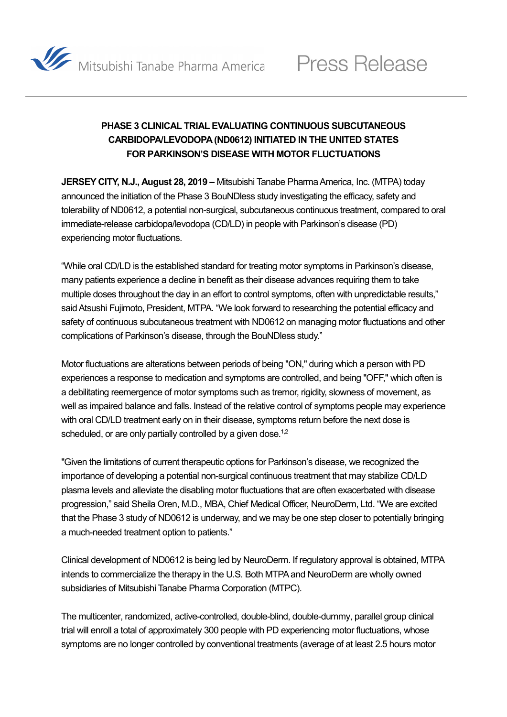

## **PHASE 3 CLINICAL TRIAL EVALUATING CONTINUOUS SUBCUTANEOUS CARBIDOPA/LEVODOPA (ND0612) INITIATED IN THE UNITED STATES FOR PARKINSON'S DISEASE WITH MOTOR FLUCTUATIONS**

**JERSEY CITY, N.J., August 28, 2019 –** Mitsubishi Tanabe Pharma America, Inc. (MTPA) today announced the initiation of the Phase 3 BouNDless study investigating the efficacy, safety and tolerability of ND0612, a potential non-surgical, subcutaneous continuous treatment, compared to oral immediate-release carbidopa/levodopa (CD/LD) in people with Parkinson's disease (PD) experiencing motor fluctuations.

"While oral CD/LD is the established standard for treating motor symptoms in Parkinson's disease, many patients experience a decline in benefit as their disease advances requiring them to take multiple doses throughout the day in an effort to control symptoms, often with unpredictable results," said Atsushi Fujimoto, President, MTPA. "We look forward to researching the potential efficacy and safety of continuous subcutaneous treatment with ND0612 on managing motor fluctuations and other complications of Parkinson's disease, through the BouNDless study."

Motor fluctuations are alterations between periods of being "ON," during which a person with PD experiences a response to medication and symptoms are controlled, and being "OFF," which often is a debilitating reemergence of motor symptoms such as tremor, rigidity, slowness of movement, as well as impaired balance and falls. Instead of the relative control of symptoms people may experience with oral CD/LD treatment early on in their disease, symptoms return before the next dose is scheduled, or are only partially controlled by a given dose.<sup>1,[2](#page-2-1)</sup>

"Given the limitations of current therapeutic options for Parkinson's disease, we recognized the importance of developing a potential non-surgical continuous treatment that may stabilize CD/LD plasma levels and alleviate the disabling motor fluctuations that are often exacerbated with disease progression," said Sheila Oren, M.D., MBA, Chief Medical Officer, NeuroDerm, Ltd. "We are excited that the Phase 3 study of ND0612 is underway, and we may be one step closer to potentially bringing a much-needed treatment option to patients."

Clinical development of ND0612 is being led by NeuroDerm. If regulatory approval is obtained, MTPA intends to commercialize the therapy in the U.S. Both MTPA and NeuroDerm are wholly owned subsidiaries of Mitsubishi Tanabe Pharma Corporation (MTPC).

The multicenter, randomized, active-controlled, double-blind, double-dummy, parallel group clinical trial will enroll a total of approximately 300 people with PD experiencing motor fluctuations, whose symptoms are no longer controlled by conventional treatments (average of at least 2.5 hours motor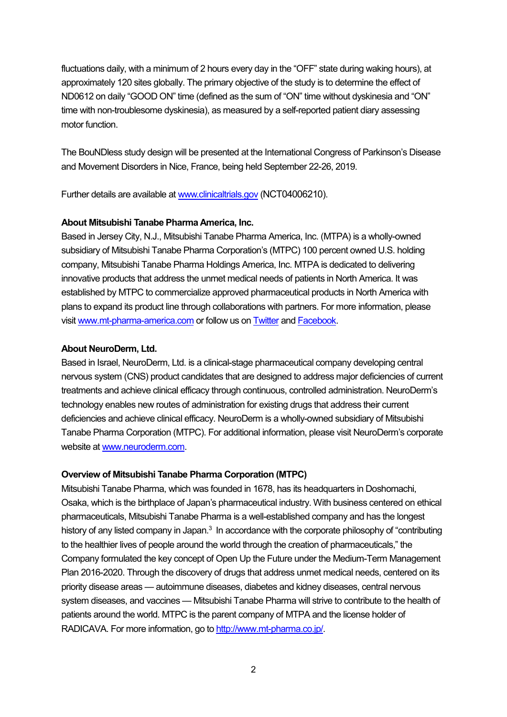fluctuations daily, with a minimum of 2 hours every day in the "OFF" state during waking hours), at approximately 120 sites globally. The primary objective of the study is to determine the effect of ND0612 on daily "GOOD ON" time (defined as the sum of "ON" time without dyskinesia and "ON" time with non-troublesome dyskinesia), as measured by a self-reported patient diary assessing motor function.

The BouNDless study design will be presented at the International Congress of Parkinson's Disease and Movement Disorders in Nice, France, being held September 22-26, 2019.

Further details are available at [www.clinicaltrials.gov](https://clinicaltrials.gov/ct2/show/NCT04006210) (NCT04006210).

## **About Mitsubishi Tanabe Pharma America, Inc.**

Based in Jersey City, N.J., Mitsubishi Tanabe Pharma America, Inc. (MTPA) is a wholly-owned subsidiary of Mitsubishi Tanabe Pharma Corporation's (MTPC) 100 percent owned U.S. holding company, Mitsubishi Tanabe Pharma Holdings America, Inc. MTPA is dedicated to delivering innovative products that address the unmet medical needs of patients in North America. It was established by MTPC to commercialize approved pharmaceutical products in North America with plans to expand its product line through collaborations with partners. For more information, please visi[t www.mt-pharma-america.com](http://www.mt-pharma-america.com/) or follow us o[n Twitter](https://twitter.com/mtpa_us) an[d Facebook.](https://www.facebook.com/MitsubishiTanabePharmaAmerica/)

## **About NeuroDerm, Ltd.**

Based in Israel, NeuroDerm, Ltd. is a clinical-stage pharmaceutical company developing central nervous system (CNS) product candidates that are designed to address major deficiencies of current treatments and achieve clinical efficacy through continuous, controlled administration. NeuroDerm's technology enables new routes of administration for existing drugs that address their current deficiencies and achieve clinical efficacy. NeuroDerm is a wholly-owned subsidiary of Mitsubishi Tanabe Pharma Corporation (MTPC). For additional information, please visit NeuroDerm's corporate website at [www.neuroderm.com.](http://www.neuroderm.com/)

## **Overview of Mitsubishi Tanabe Pharma Corporation (MTPC)**

Mitsubishi Tanabe Pharma, which was founded in 1678, has its headquarters in Doshomachi, Osaka, which is the birthplace of Japan's pharmaceutical industry. With business centered on ethical pharmaceuticals, Mitsubishi Tanabe Pharma is a well-established company and has the longest history of any listed company in Japan.<sup>3</sup> In accordance with the corporate philosophy of "contributing to the healthier lives of people around the world through the creation of pharmaceuticals," the Company formulated the key concept of Open Up the Future under the Medium-Term Management Plan 2016-2020. Through the discovery of drugs that address unmet medical needs, centered on its priority disease areas — autoimmune diseases, diabetes and kidney diseases, central nervous system diseases, and vaccines — Mitsubishi Tanabe Pharma will strive to contribute to the health of patients around the world. MTPC is the parent company of MTPA and the license holder of RADICAVA. For more information, go to [http://www.mt-pharma.co.jp/.](http://www.mt-pharma.co.jp/)